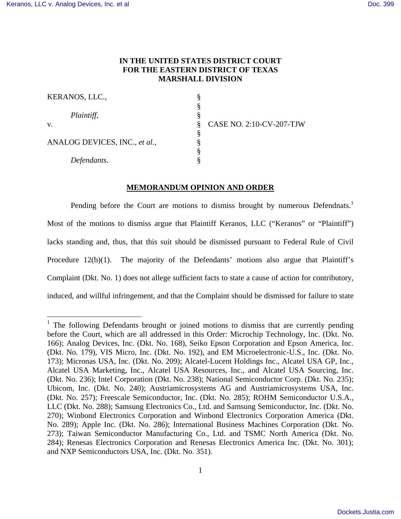1

# **IN THE UNITED STATES DISTRICT COURT FOR THE EASTERN DISTRICT OF TEXAS MARSHALL DIVISION**

| KERANOS, LLC.,                |   |  |
|-------------------------------|---|--|
|                               |   |  |
| Plaintiff,                    |   |  |
| V.                            |   |  |
|                               | ş |  |
| ANALOG DEVICES, INC., et al., |   |  |
|                               | Ş |  |
| Defendants.                   |   |  |
|                               |   |  |

CASE NO. 2:10-CV-207-TJW

# **MEMORANDUM OPINION AND ORDER**

Pending before the Court are motions to dismiss brought by numerous Defendnats.<sup>1</sup> Most of the motions to dismiss argue that Plaintiff Keranos, LLC ("Keranos" or "Plaintiff") lacks standing and, thus, that this suit should be dismissed pursuant to Federal Rule of Civil Procedure 12(b)(1). The majority of the Defendants' motions also argue that Plaintiff's Complaint (Dkt. No. 1) does not allege sufficient facts to state a cause of action for contributory, induced, and willful infringement, and that the Complaint should be dismissed for failure to state

<sup>&</sup>lt;sup>1</sup> The following Defendants brought or joined motions to dismiss that are currently pending before the Court, which are all addressed in this Order: Microchip Technology, Inc. (Dkt. No. 166); Analog Devices, Inc. (Dkt. No. 168), Seiko Epson Corporation and Epson America, Inc. (Dkt. No. 179), VIS Micro, Inc. (Dkt. No. 192), and EM Microelectronic-U.S., Inc. (Dkt. No. 173); Micronas USA, Inc. (Dkt. No. 209); Alcatel-Lucent Holdings Inc., Alcatel USA GP, Inc., Alcatel USA Marketing, Inc., Alcatel USA Resources, Inc., and Alcatel USA Sourcing, Inc. (Dkt. No. 236); Intel Corporation (Dkt. No. 238); National Semiconductor Corp. (Dkt. No. 235); Ubicom, Inc. (Dkt. No. 240); Austriamicrosystems AG and Austriamicrosystems USA, Inc. (Dkt. No. 257); Freescale Semiconductor, Inc. (Dkt. No. 285); ROHM Semiconductor U.S.A., LLC (Dkt. No. 288); Samsung Electronics Co., Ltd. and Samsung Semiconductor, Inc. (Dkt. No. 270); Winbond Electronics Corporation and Winbond Electronics Corporation America (Dkt. No. 289); Apple Inc. (Dkt. No. 286); International Business Machines Corporation (Dkt. No. 273); Taiwan Semiconductor Manufacturing Co., Ltd. and TSMC North America (Dkt. No. 284); Renesas Electronics Corporation and Renesas Electronics America Inc. (Dkt. No. 301); and NXP Semiconductors USA, Inc. (Dkt. No. 351).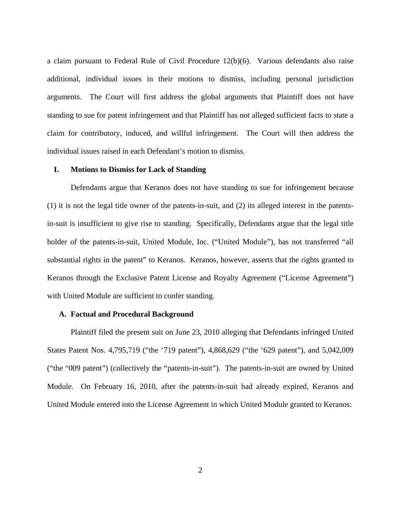a claim pursuant to Federal Rule of Civil Procedure 12(b)(6). Various defendants also raise additional, individual issues in their motions to dismiss, including personal jurisdiction arguments. The Court will first address the global arguments that Plaintiff does not have standing to sue for patent infringement and that Plaintiff has not alleged sufficient facts to state a claim for contributory, induced, and willful infringement. The Court will then address the individual issues raised in each Defendant's motion to dismiss.

# **I. Motions to Dismiss for Lack of Standing**

 Defendants argue that Keranos does not have standing to sue for infringement because (1) it is not the legal title owner of the patents-in-suit, and (2) its alleged interest in the patentsin-suit is insufficient to give rise to standing. Specifically, Defendants argue that the legal title holder of the patents-in-suit, United Module, Inc. ("United Module"), has not transferred "all substantial rights in the patent" to Keranos. Keranos, however, asserts that the rights granted to Keranos through the Exclusive Patent License and Royalty Agreement ("License Agreement") with United Module are sufficient to confer standing.

#### **A. Factual and Procedural Background**

 Plaintiff filed the present suit on June 23, 2010 alleging that Defendants infringed United States Patent Nos. 4,795,719 ("the '719 patent"), 4,868,629 ("the '629 patent"), and 5,042,009 ("the "009 patent") (collectively the "patents-in-suit"). The patents-in-suit are owned by United Module. On February 16, 2010, after the patents-in-suit had already expired, Keranos and United Module entered into the License Agreement in which United Module granted to Keranos: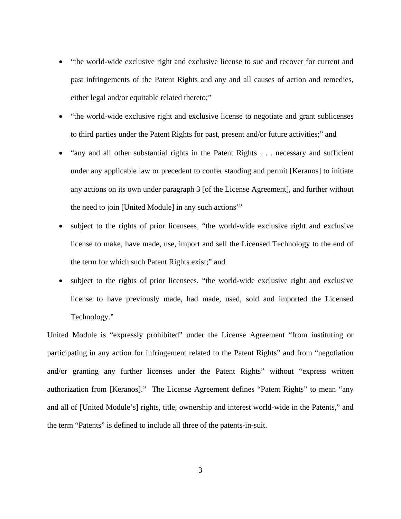- "the world-wide exclusive right and exclusive license to sue and recover for current and past infringements of the Patent Rights and any and all causes of action and remedies, either legal and/or equitable related thereto;"
- "the world-wide exclusive right and exclusive license to negotiate and grant sublicenses to third parties under the Patent Rights for past, present and/or future activities;" and
- "any and all other substantial rights in the Patent Rights . . . necessary and sufficient under any applicable law or precedent to confer standing and permit [Keranos] to initiate any actions on its own under paragraph 3 [of the License Agreement], and further without the need to join [United Module] in any such actions'"
- subject to the rights of prior licensees, "the world-wide exclusive right and exclusive license to make, have made, use, import and sell the Licensed Technology to the end of the term for which such Patent Rights exist;" and
- subject to the rights of prior licensees, "the world-wide exclusive right and exclusive license to have previously made, had made, used, sold and imported the Licensed Technology."

United Module is "expressly prohibited" under the License Agreement "from instituting or participating in any action for infringement related to the Patent Rights" and from "negotiation and/or granting any further licenses under the Patent Rights" without "express written authorization from [Keranos]." The License Agreement defines "Patent Rights" to mean "any and all of [United Module's] rights, title, ownership and interest world-wide in the Patents," and the term "Patents" is defined to include all three of the patents-in-suit.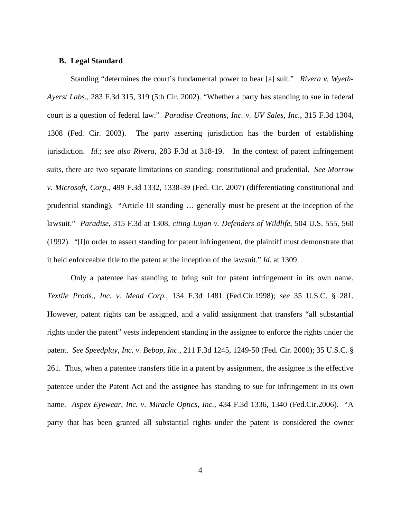## **B. Legal Standard**

Standing "determines the court's fundamental power to hear [a] suit." *Rivera v. Wyeth-Ayerst Labs.,* 283 F.3d 315, 319 (5th Cir. 2002). "Whether a party has standing to sue in federal court is a question of federal law." *Paradise Creations, Inc. v. UV Sales, Inc.*, 315 F.3d 1304, 1308 (Fed. Cir. 2003). The party asserting jurisdiction has the burden of establishing jurisdiction. *Id.*; *see also Rivera*, 283 F.3d at 318-19. In the context of patent infringement suits, there are two separate limitations on standing: constitutional and prudential. *See Morrow v. Microsoft, Corp.,* 499 F.3d 1332, 1338-39 (Fed. Cir. 2007) (differentiating constitutional and prudential standing). "Article III standing … generally must be present at the inception of the lawsuit." *Paradise*, 315 F.3d at 1308, *citing Lujan v. Defenders of Wildlife*, 504 U.S. 555, 560 (1992). "[I]n order to assert standing for patent infringement, the plaintiff must demonstrate that it held enforceable title to the patent at the inception of the lawsuit." *Id.* at 1309.

Only a patentee has standing to bring suit for patent infringement in its own name. *Textile Prods., Inc. v. Mead Corp*., 134 F.3d 1481 (Fed.Cir.1998); *see* 35 U.S.C. § 281. However, patent rights can be assigned, and a valid assignment that transfers "all substantial rights under the patent" vests independent standing in the assignee to enforce the rights under the patent. *See Speedplay, Inc. v. Bebop, Inc.*, 211 F.3d 1245, 1249-50 (Fed. Cir. 2000); 35 U.S.C. § 261. Thus, when a patentee transfers title in a patent by assignment, the assignee is the effective patentee under the Patent Act and the assignee has standing to sue for infringement in its own name. *Aspex Eyewear, Inc. v. Miracle Optics, Inc.*, 434 F.3d 1336, 1340 (Fed.Cir.2006). "A party that has been granted all substantial rights under the patent is considered the owner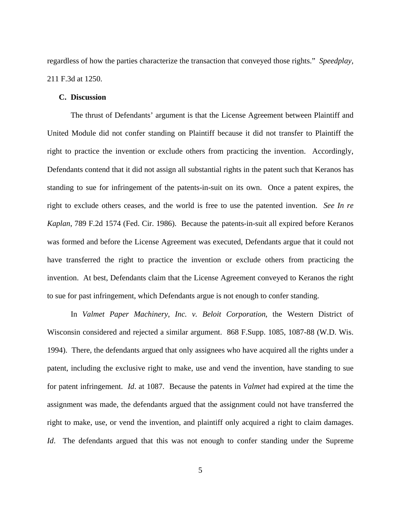regardless of how the parties characterize the transaction that conveyed those rights." *Speedplay,* 211 F.3d at 1250.

### **C. Discussion**

 The thrust of Defendants' argument is that the License Agreement between Plaintiff and United Module did not confer standing on Plaintiff because it did not transfer to Plaintiff the right to practice the invention or exclude others from practicing the invention. Accordingly, Defendants contend that it did not assign all substantial rights in the patent such that Keranos has standing to sue for infringement of the patents-in-suit on its own. Once a patent expires, the right to exclude others ceases, and the world is free to use the patented invention. *See In re Kaplan*, 789 F.2d 1574 (Fed. Cir. 1986). Because the patents-in-suit all expired before Keranos was formed and before the License Agreement was executed, Defendants argue that it could not have transferred the right to practice the invention or exclude others from practicing the invention. At best, Defendants claim that the License Agreement conveyed to Keranos the right to sue for past infringement, which Defendants argue is not enough to confer standing.

 In *Valmet Paper Machinery, Inc. v. Beloit Corporation*, the Western District of Wisconsin considered and rejected a similar argument. 868 F.Supp. 1085, 1087-88 (W.D. Wis. 1994). There, the defendants argued that only assignees who have acquired all the rights under a patent, including the exclusive right to make, use and vend the invention, have standing to sue for patent infringement. *Id*. at 1087. Because the patents in *Valmet* had expired at the time the assignment was made, the defendants argued that the assignment could not have transferred the right to make, use, or vend the invention, and plaintiff only acquired a right to claim damages. *Id*. The defendants argued that this was not enough to confer standing under the Supreme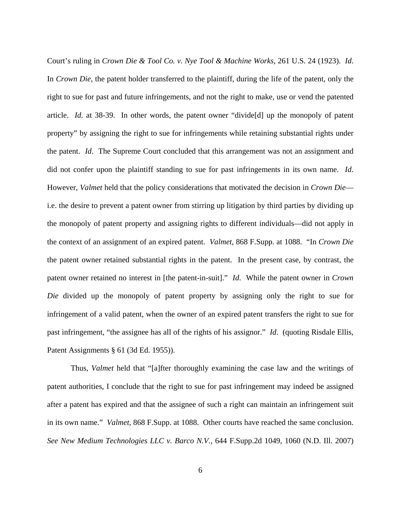Court's ruling in *Crown Die & Tool Co. v. Nye Tool & Machine Works*, 261 U.S. 24 (1923). *Id*. In *Crown Die*, the patent holder transferred to the plaintiff, during the life of the patent, only the right to sue for past and future infringements, and not the right to make, use or vend the patented article. *Id.* at 38-39. In other words, the patent owner "divide[d] up the monopoly of patent property" by assigning the right to sue for infringements while retaining substantial rights under the patent. *Id*. The Supreme Court concluded that this arrangement was not an assignment and did not confer upon the plaintiff standing to sue for past infringements in its own name. *Id*. However, *Valmet* held that the policy considerations that motivated the decision in *Crown Die* i.e. the desire to prevent a patent owner from stirring up litigation by third parties by dividing up the monopoly of patent property and assigning rights to different individuals—did not apply in the context of an assignment of an expired patent. *Valmet*, 868 F.Supp. at 1088. "In *Crown Die* the patent owner retained substantial rights in the patent. In the present case, by contrast, the patent owner retained no interest in [the patent-in-suit]." *Id*. While the patent owner in *Crown Die* divided up the monopoly of patent property by assigning only the right to sue for infringement of a valid patent, when the owner of an expired patent transfers the right to sue for past infringement, "the assignee has all of the rights of his assignor." *Id*. (quoting Risdale Ellis, Patent Assignments § 61 (3d Ed. 1955)).

 Thus, *Valmet* held that "[a]fter thoroughly examining the case law and the writings of patent authorities, I conclude that the right to sue for past infringement may indeed be assigned after a patent has expired and that the assignee of such a right can maintain an infringement suit in its own name." *Valmet*, 868 F.Supp. at 1088. Other courts have reached the same conclusion. *See New Medium Technologies LLC v. Barco N.V.*, 644 F.Supp.2d 1049, 1060 (N.D. Ill. 2007)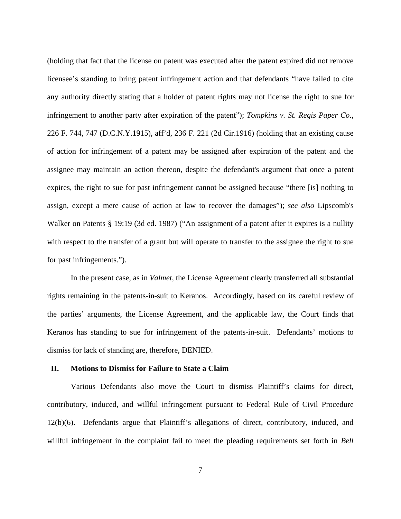(holding that fact that the license on patent was executed after the patent expired did not remove licensee's standing to bring patent infringement action and that defendants "have failed to cite any authority directly stating that a holder of patent rights may not license the right to sue for infringement to another party after expiration of the patent"); *Tompkins v. St. Regis Paper Co*., 226 F. 744, 747 (D.C.N.Y.1915), aff'd, 236 F. 221 (2d Cir.1916) (holding that an existing cause of action for infringement of a patent may be assigned after expiration of the patent and the assignee may maintain an action thereon, despite the defendant's argument that once a patent expires, the right to sue for past infringement cannot be assigned because "there [is] nothing to assign, except a mere cause of action at law to recover the damages"); *see also* Lipscomb's Walker on Patents § 19:19 (3d ed. 1987) ("An assignment of a patent after it expires is a nullity with respect to the transfer of a grant but will operate to transfer to the assignee the right to sue for past infringements.").

 In the present case, as in *Valmet*, the License Agreement clearly transferred all substantial rights remaining in the patents-in-suit to Keranos. Accordingly, based on its careful review of the parties' arguments, the License Agreement, and the applicable law, the Court finds that Keranos has standing to sue for infringement of the patents-in-suit. Defendants' motions to dismiss for lack of standing are, therefore, DENIED.

#### **II. Motions to Dismiss for Failure to State a Claim**

 Various Defendants also move the Court to dismiss Plaintiff's claims for direct, contributory, induced, and willful infringement pursuant to Federal Rule of Civil Procedure 12(b)(6). Defendants argue that Plaintiff's allegations of direct, contributory, induced, and willful infringement in the complaint fail to meet the pleading requirements set forth in *Bell*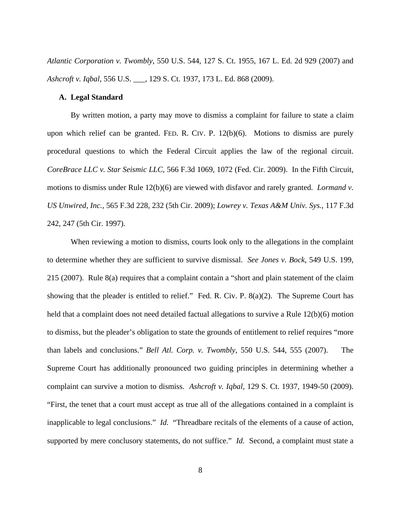*Atlantic Corporation v. Twombly*, 550 U.S. 544, 127 S. Ct. 1955, 167 L. Ed. 2d 929 (2007) and *Ashcroft v. Iqbal*, 556 U.S. \_\_\_, 129 S. Ct. 1937, 173 L. Ed. 868 (2009).

# **A. Legal Standard**

 By written motion, a party may move to dismiss a complaint for failure to state a claim upon which relief can be granted. FED. R. CIV. P. 12(b)(6). Motions to dismiss are purely procedural questions to which the Federal Circuit applies the law of the regional circuit. *CoreBrace LLC v. Star Seismic LLC*, 566 F.3d 1069, 1072 (Fed. Cir. 2009). In the Fifth Circuit, motions to dismiss under Rule 12(b)(6) are viewed with disfavor and rarely granted. *Lormand v. US Unwired, Inc.*, 565 F.3d 228, 232 (5th Cir. 2009); *Lowrey v. Texas A&M Univ. Sys.*, 117 F.3d 242, 247 (5th Cir. 1997).

 When reviewing a motion to dismiss, courts look only to the allegations in the complaint to determine whether they are sufficient to survive dismissal. *See Jones v. Bock*, 549 U.S. 199, 215 (2007). Rule 8(a) requires that a complaint contain a "short and plain statement of the claim showing that the pleader is entitled to relief." Fed. R. Civ. P. 8(a)(2). The Supreme Court has held that a complaint does not need detailed factual allegations to survive a Rule 12(b)(6) motion to dismiss, but the pleader's obligation to state the grounds of entitlement to relief requires "more than labels and conclusions." *Bell Atl. Corp. v. Twombly*, 550 U.S. 544, 555 (2007). The Supreme Court has additionally pronounced two guiding principles in determining whether a complaint can survive a motion to dismiss. *Ashcroft v. Iqbal*, 129 S. Ct. 1937, 1949-50 (2009). "First, the tenet that a court must accept as true all of the allegations contained in a complaint is inapplicable to legal conclusions." *Id.* "Threadbare recitals of the elements of a cause of action, supported by mere conclusory statements, do not suffice." *Id.* Second, a complaint must state a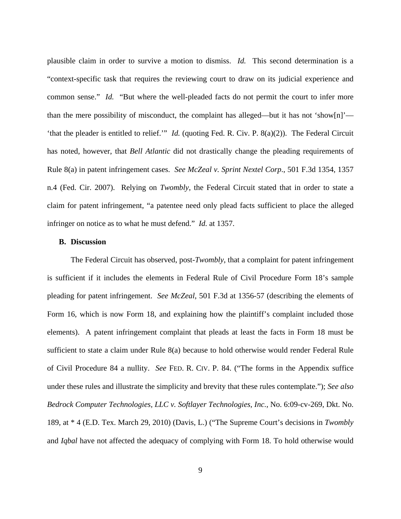plausible claim in order to survive a motion to dismiss. *Id.* This second determination is a "context-specific task that requires the reviewing court to draw on its judicial experience and common sense." *Id.* "But where the well-pleaded facts do not permit the court to infer more than the mere possibility of misconduct, the complaint has alleged—but it has not 'show[n]'— 'that the pleader is entitled to relief.'" *Id.* (quoting Fed. R. Civ. P. 8(a)(2)). The Federal Circuit has noted, however, that *Bell Atlantic* did not drastically change the pleading requirements of Rule 8(a) in patent infringement cases. *See McZeal v. Sprint Nextel Corp*., 501 F.3d 1354, 1357 n.4 (Fed. Cir. 2007). Relying on *Twombly*, the Federal Circuit stated that in order to state a claim for patent infringement, "a patentee need only plead facts sufficient to place the alleged infringer on notice as to what he must defend." *Id.* at 1357.

# **B. Discussion**

The Federal Circuit has observed, post-*Twombly*, that a complaint for patent infringement is sufficient if it includes the elements in Federal Rule of Civil Procedure Form 18's sample pleading for patent infringement. *See McZeal*, 501 F.3d at 1356-57 (describing the elements of Form 16, which is now Form 18, and explaining how the plaintiff's complaint included those elements). A patent infringement complaint that pleads at least the facts in Form 18 must be sufficient to state a claim under Rule 8(a) because to hold otherwise would render Federal Rule of Civil Procedure 84 a nullity. *See* FED. R. CIV. P. 84. ("The forms in the Appendix suffice under these rules and illustrate the simplicity and brevity that these rules contemplate."); *See also Bedrock Computer Technologies, LLC v. Softlayer Technologies, Inc.,* No. 6:09-cv-269, Dkt. No. 189, at \* 4 (E.D. Tex. March 29, 2010) (Davis, L.) ("The Supreme Court's decisions in *Twombly*  and *Iqbal* have not affected the adequacy of complying with Form 18. To hold otherwise would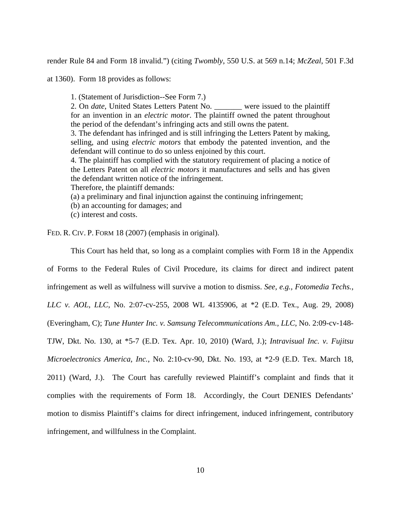render Rule 84 and Form 18 invalid.") (citing *Twombly*, 550 U.S. at 569 n.14; *McZeal*, 501 F.3d

at 1360). Form 18 provides as follows:

1. (Statement of Jurisdiction--See Form 7.) 2. On *date*, United States Letters Patent No. \_\_\_\_\_\_\_ were issued to the plaintiff for an invention in an *electric motor*. The plaintiff owned the patent throughout the period of the defendant's infringing acts and still owns the patent. 3. The defendant has infringed and is still infringing the Letters Patent by making, selling, and using *electric motors* that embody the patented invention, and the defendant will continue to do so unless enjoined by this court. 4. The plaintiff has complied with the statutory requirement of placing a notice of the Letters Patent on all *electric motors* it manufactures and sells and has given the defendant written notice of the infringement. Therefore, the plaintiff demands: (a) a preliminary and final injunction against the continuing infringement;

- 
- (b) an accounting for damages; and
- (c) interest and costs.

FED. R. CIV. P. FORM 18 (2007) (emphasis in original).

 This Court has held that, so long as a complaint complies with Form 18 in the Appendix of Forms to the Federal Rules of Civil Procedure, its claims for direct and indirect patent infringement as well as wilfulness will survive a motion to dismiss. *See, e.g., Fotomedia Techs., LLC v. AOL, LLC*, No. 2:07-cv-255, 2008 WL 4135906, at \*2 (E.D. Tex., Aug. 29, 2008) (Everingham, C); *Tune Hunter Inc. v. Samsung Telecommunications Am., LLC*, No. 2:09-cv-148- TJW, Dkt. No. 130, at \*5-7 (E.D. Tex. Apr. 10, 2010) (Ward, J.); *Intravisual Inc. v. Fujitsu Microelectronics America, Inc.*, No. 2:10-cv-90, Dkt. No. 193, at \*2-9 (E.D. Tex. March 18, 2011) (Ward, J.). The Court has carefully reviewed Plaintiff's complaint and finds that it complies with the requirements of Form 18. Accordingly, the Court DENIES Defendants' motion to dismiss Plaintiff's claims for direct infringement, induced infringement, contributory infringement, and willfulness in the Complaint.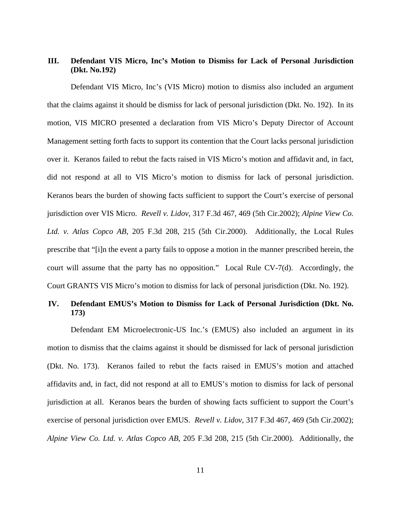# **III. Defendant VIS Micro, Inc's Motion to Dismiss for Lack of Personal Jurisdiction (Dkt. No.192)**

 Defendant VIS Micro, Inc's (VIS Micro) motion to dismiss also included an argument that the claims against it should be dismiss for lack of personal jurisdiction (Dkt. No. 192). In its motion, VIS MICRO presented a declaration from VIS Micro's Deputy Director of Account Management setting forth facts to support its contention that the Court lacks personal jurisdiction over it. Keranos failed to rebut the facts raised in VIS Micro's motion and affidavit and, in fact, did not respond at all to VIS Micro's motion to dismiss for lack of personal jurisdiction. Keranos bears the burden of showing facts sufficient to support the Court's exercise of personal jurisdiction over VIS Micro. *Revell v. Lidov*, 317 F.3d 467, 469 (5th Cir.2002); *Alpine View Co. Ltd. v. Atlas Copco AB*, 205 F.3d 208, 215 (5th Cir.2000). Additionally, the Local Rules prescribe that "[i]n the event a party fails to oppose a motion in the manner prescribed herein, the court will assume that the party has no opposition." Local Rule CV-7(d). Accordingly, the Court GRANTS VIS Micro's motion to dismiss for lack of personal jurisdiction (Dkt. No. 192).

# **IV. Defendant EMUS's Motion to Dismiss for Lack of Personal Jurisdiction (Dkt. No. 173)**

 Defendant EM Microelectronic-US Inc.'s (EMUS) also included an argument in its motion to dismiss that the claims against it should be dismissed for lack of personal jurisdiction (Dkt. No. 173). Keranos failed to rebut the facts raised in EMUS's motion and attached affidavits and, in fact, did not respond at all to EMUS's motion to dismiss for lack of personal jurisdiction at all. Keranos bears the burden of showing facts sufficient to support the Court's exercise of personal jurisdiction over EMUS. *Revell v. Lidov*, 317 F.3d 467, 469 (5th Cir.2002); *Alpine View Co. Ltd. v. Atlas Copco AB*, 205 F.3d 208, 215 (5th Cir.2000). Additionally, the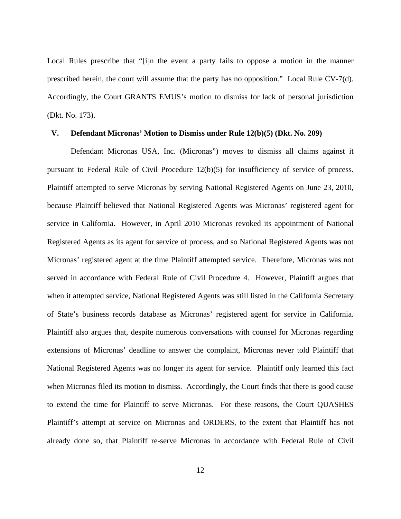Local Rules prescribe that "[i]n the event a party fails to oppose a motion in the manner prescribed herein, the court will assume that the party has no opposition." Local Rule CV-7(d). Accordingly, the Court GRANTS EMUS's motion to dismiss for lack of personal jurisdiction (Dkt. No. 173).

#### **V. Defendant Micronas' Motion to Dismiss under Rule 12(b)(5) (Dkt. No. 209)**

 Defendant Micronas USA, Inc. (Micronas") moves to dismiss all claims against it pursuant to Federal Rule of Civil Procedure 12(b)(5) for insufficiency of service of process. Plaintiff attempted to serve Micronas by serving National Registered Agents on June 23, 2010, because Plaintiff believed that National Registered Agents was Micronas' registered agent for service in California. However, in April 2010 Micronas revoked its appointment of National Registered Agents as its agent for service of process, and so National Registered Agents was not Micronas' registered agent at the time Plaintiff attempted service. Therefore, Micronas was not served in accordance with Federal Rule of Civil Procedure 4. However, Plaintiff argues that when it attempted service, National Registered Agents was still listed in the California Secretary of State's business records database as Micronas' registered agent for service in California. Plaintiff also argues that, despite numerous conversations with counsel for Micronas regarding extensions of Micronas' deadline to answer the complaint, Micronas never told Plaintiff that National Registered Agents was no longer its agent for service. Plaintiff only learned this fact when Micronas filed its motion to dismiss. Accordingly, the Court finds that there is good cause to extend the time for Plaintiff to serve Micronas. For these reasons, the Court QUASHES Plaintiff's attempt at service on Micronas and ORDERS, to the extent that Plaintiff has not already done so, that Plaintiff re-serve Micronas in accordance with Federal Rule of Civil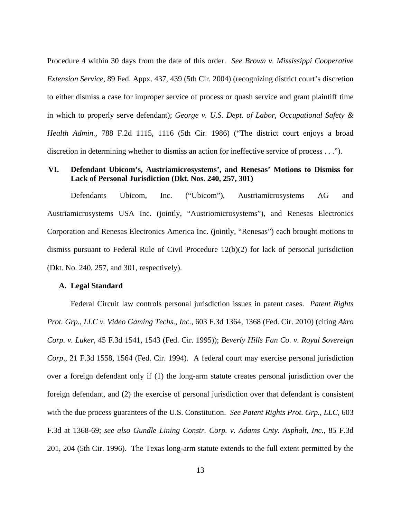Procedure 4 within 30 days from the date of this order. *See Brown v. Mississippi Cooperative Extension Service*, 89 Fed. Appx. 437, 439 (5th Cir. 2004) (recognizing district court's discretion to either dismiss a case for improper service of process or quash service and grant plaintiff time in which to properly serve defendant); *George v. U.S. Dept. of Labor, Occupational Safety & Health Admin.*, 788 F.2d 1115, 1116 (5th Cir. 1986) ("The district court enjoys a broad discretion in determining whether to dismiss an action for ineffective service of process . . .").

# **VI. Defendant Ubicom's, Austriamicrosystems', and Renesas' Motions to Dismiss for Lack of Personal Jurisdiction (Dkt. Nos. 240, 257, 301)**

 Defendants Ubicom, Inc. ("Ubicom"), Austriamicrosystems AG and Austriamicrosystems USA Inc. (jointly, "Austriomicrosystems"), and Renesas Electronics Corporation and Renesas Electronics America Inc. (jointly, "Renesas") each brought motions to dismiss pursuant to Federal Rule of Civil Procedure 12(b)(2) for lack of personal jurisdiction (Dkt. No. 240, 257, and 301, respectively).

# **A. Legal Standard**

Federal Circuit law controls personal jurisdiction issues in patent cases. *Patent Rights Prot. Grp., LLC v. Video Gaming Techs., Inc.*, 603 F.3d 1364, 1368 (Fed. Cir. 2010) (citing *Akro Corp. v. Luker*, 45 F.3d 1541, 1543 (Fed. Cir. 1995)); *Beverly Hills Fan Co. v. Royal Sovereign Corp*., 21 F.3d 1558, 1564 (Fed. Cir. 1994). A federal court may exercise personal jurisdiction over a foreign defendant only if (1) the long-arm statute creates personal jurisdiction over the foreign defendant, and (2) the exercise of personal jurisdiction over that defendant is consistent with the due process guarantees of the U.S. Constitution. *See Patent Rights Prot. Grp., LLC,* 603 F.3d at 1368-69; *see also Gundle Lining Constr. Corp. v. Adams Cnty. Asphalt, Inc.*, 85 F.3d 201, 204 (5th Cir. 1996). The Texas long-arm statute extends to the full extent permitted by the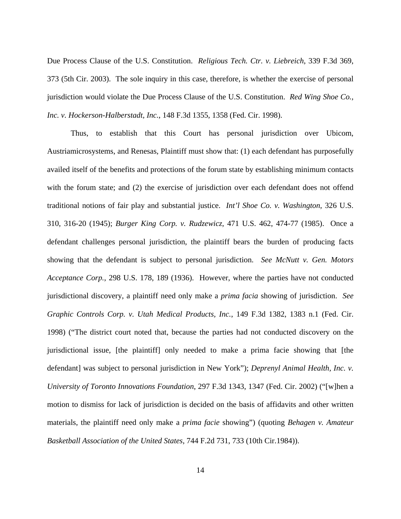Due Process Clause of the U.S. Constitution. *Religious Tech. Ctr. v. Liebreich*, 339 F.3d 369, 373 (5th Cir. 2003). The sole inquiry in this case, therefore, is whether the exercise of personal jurisdiction would violate the Due Process Clause of the U.S. Constitution. *Red Wing Shoe Co., Inc. v. Hockerson-Halberstadt, Inc.*, 148 F.3d 1355, 1358 (Fed. Cir. 1998).

Thus, to establish that this Court has personal jurisdiction over Ubicom, Austriamicrosystems, and Renesas, Plaintiff must show that: (1) each defendant has purposefully availed itself of the benefits and protections of the forum state by establishing minimum contacts with the forum state; and (2) the exercise of jurisdiction over each defendant does not offend traditional notions of fair play and substantial justice. *Int'l Shoe Co. v. Washington*, 326 U.S. 310, 316-20 (1945); *Burger King Corp. v. Rudzewicz*, 471 U.S. 462, 474-77 (1985). Once a defendant challenges personal jurisdiction, the plaintiff bears the burden of producing facts showing that the defendant is subject to personal jurisdiction. *See McNutt v. Gen. Motors Acceptance Corp.*, 298 U.S. 178, 189 (1936). However, where the parties have not conducted jurisdictional discovery, a plaintiff need only make a *prima facia* showing of jurisdiction. *See Graphic Controls Corp. v. Utah Medical Products, Inc.*, 149 F.3d 1382, 1383 n.1 (Fed. Cir. 1998) ("The district court noted that, because the parties had not conducted discovery on the jurisdictional issue, [the plaintiff] only needed to make a prima facie showing that [the defendant] was subject to personal jurisdiction in New York"); *Deprenyl Animal Health, Inc. v. University of Toronto Innovations Foundation*, 297 F.3d 1343, 1347 (Fed. Cir. 2002) ("[w]hen a motion to dismiss for lack of jurisdiction is decided on the basis of affidavits and other written materials, the plaintiff need only make a *prima facie* showing") (quoting *Behagen v. Amateur Basketball Association of the United States*, 744 F.2d 731, 733 (10th Cir.1984)).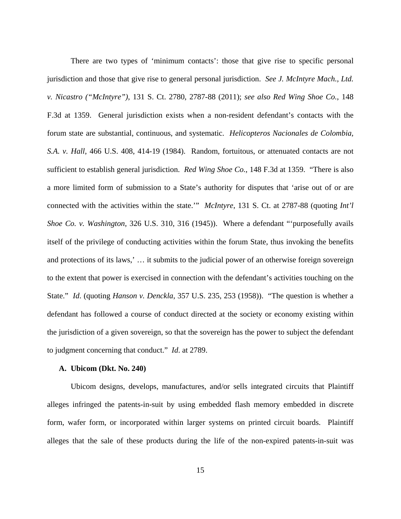There are two types of 'minimum contacts': those that give rise to specific personal jurisdiction and those that give rise to general personal jurisdiction. *See J. McIntyre Mach., Ltd. v. Nicastro ("McIntyre")*, 131 S. Ct. 2780, 2787-88 (2011); *see also Red Wing Shoe Co.*, 148 F.3d at 1359. General jurisdiction exists when a non-resident defendant's contacts with the forum state are substantial, continuous, and systematic. *Helicopteros Nacionales de Colombia, S.A. v. Hall*, 466 U.S. 408, 414-19 (1984). Random, fortuitous, or attenuated contacts are not sufficient to establish general jurisdiction. *Red Wing Shoe Co.*, 148 F.3d at 1359. "There is also a more limited form of submission to a State's authority for disputes that 'arise out of or are connected with the activities within the state.'" *McIntyre*, 131 S. Ct. at 2787-88 (quoting *Int'l Shoe Co. v. Washington*, 326 U.S. 310, 316 (1945)). Where a defendant "'purposefully avails itself of the privilege of conducting activities within the forum State, thus invoking the benefits and protections of its laws,' … it submits to the judicial power of an otherwise foreign sovereign to the extent that power is exercised in connection with the defendant's activities touching on the State." *Id*. (quoting *Hanson v. Denckla*, 357 U.S. 235, 253 (1958)). "The question is whether a defendant has followed a course of conduct directed at the society or economy existing within the jurisdiction of a given sovereign, so that the sovereign has the power to subject the defendant to judgment concerning that conduct." *Id*. at 2789.

#### **A. Ubicom (Dkt. No. 240)**

 Ubicom designs, develops, manufactures, and/or sells integrated circuits that Plaintiff alleges infringed the patents-in-suit by using embedded flash memory embedded in discrete form, wafer form, or incorporated within larger systems on printed circuit boards. Plaintiff alleges that the sale of these products during the life of the non-expired patents-in-suit was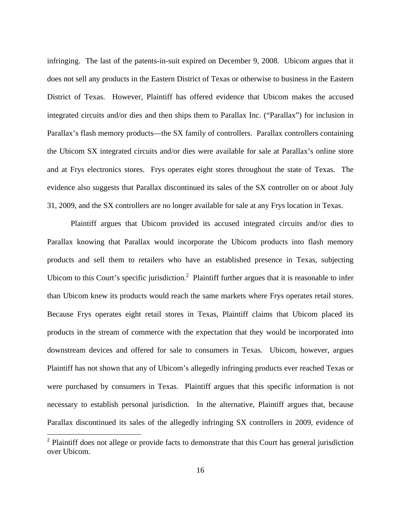infringing. The last of the patents-in-suit expired on December 9, 2008. Ubicom argues that it does not sell any products in the Eastern District of Texas or otherwise to business in the Eastern District of Texas. However, Plaintiff has offered evidence that Ubicom makes the accused integrated circuits and/or dies and then ships them to Parallax Inc. ("Parallax") for inclusion in Parallax's flash memory products—the SX family of controllers. Parallax controllers containing the Ubicom SX integrated circuits and/or dies were available for sale at Parallax's online store and at Frys electronics stores. Frys operates eight stores throughout the state of Texas. The evidence also suggests that Parallax discontinued its sales of the SX controller on or about July 31, 2009, and the SX controllers are no longer available for sale at any Frys location in Texas.

 Plaintiff argues that Ubicom provided its accused integrated circuits and/or dies to Parallax knowing that Parallax would incorporate the Ubicom products into flash memory products and sell them to retailers who have an established presence in Texas, subjecting Ubicom to this Court's specific jurisdiction.<sup>2</sup> Plaintiff further argues that it is reasonable to infer than Ubicom knew its products would reach the same markets where Frys operates retail stores. Because Frys operates eight retail stores in Texas, Plaintiff claims that Ubicom placed its products in the stream of commerce with the expectation that they would be incorporated into downstream devices and offered for sale to consumers in Texas. Ubicom, however, argues Plaintiff has not shown that any of Ubicom's allegedly infringing products ever reached Texas or were purchased by consumers in Texas. Plaintiff argues that this specific information is not necessary to establish personal jurisdiction. In the alternative, Plaintiff argues that, because Parallax discontinued its sales of the allegedly infringing SX controllers in 2009, evidence of

 $\overline{a}$ 

 $2$  Plaintiff does not allege or provide facts to demonstrate that this Court has general jurisdiction over Ubicom.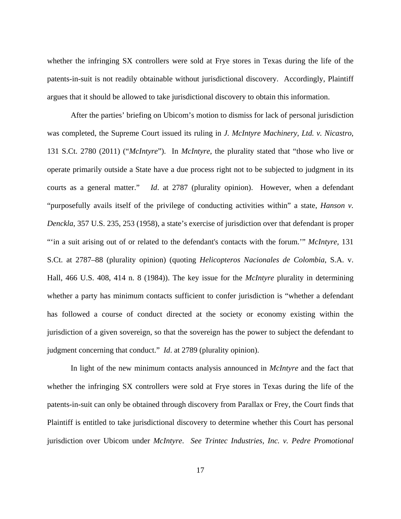whether the infringing SX controllers were sold at Frye stores in Texas during the life of the patents-in-suit is not readily obtainable without jurisdictional discovery. Accordingly, Plaintiff argues that it should be allowed to take jurisdictional discovery to obtain this information.

 After the parties' briefing on Ubicom's motion to dismiss for lack of personal jurisdiction was completed, the Supreme Court issued its ruling in *J. McIntyre Machinery, Ltd. v. Nicastro*, 131 S.Ct. 2780 (2011) ("*McIntyre*"). In *McIntyre*, the plurality stated that "those who live or operate primarily outside a State have a due process right not to be subjected to judgment in its courts as a general matter." *Id*. at 2787 (plurality opinion). However, when a defendant "purposefully avails itself of the privilege of conducting activities within" a state, *Hanson v. Denckla*, 357 U.S. 235, 253 (1958), a state's exercise of jurisdiction over that defendant is proper "'in a suit arising out of or related to the defendant's contacts with the forum.'" *McIntyre,* 131 S.Ct. at 2787–88 (plurality opinion) (quoting *Helicopteros Nacionales de Colombia*, S.A. v. Hall, 466 U.S. 408, 414 n. 8 (1984)). The key issue for the *McIntyre* plurality in determining whether a party has minimum contacts sufficient to confer jurisdiction is "whether a defendant" has followed a course of conduct directed at the society or economy existing within the jurisdiction of a given sovereign, so that the sovereign has the power to subject the defendant to judgment concerning that conduct." *Id*. at 2789 (plurality opinion).

 In light of the new minimum contacts analysis announced in *McIntyre* and the fact that whether the infringing SX controllers were sold at Frye stores in Texas during the life of the patents-in-suit can only be obtained through discovery from Parallax or Frey, the Court finds that Plaintiff is entitled to take jurisdictional discovery to determine whether this Court has personal jurisdiction over Ubicom under *McIntyre*. *See Trintec Industries, Inc. v. Pedre Promotional*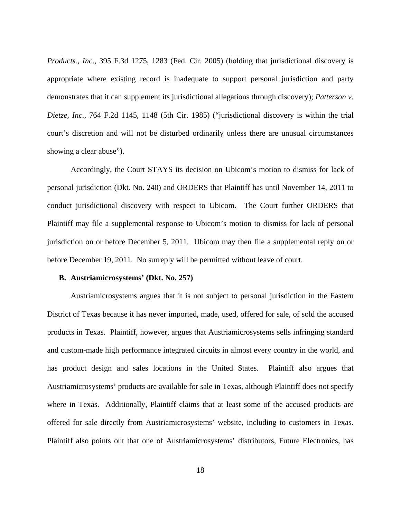*Products., Inc*., 395 F.3d 1275, 1283 (Fed. Cir. 2005) (holding that jurisdictional discovery is appropriate where existing record is inadequate to support personal jurisdiction and party demonstrates that it can supplement its jurisdictional allegations through discovery); *Patterson v. Dietze, Inc*., 764 F.2d 1145, 1148 (5th Cir. 1985) ("jurisdictional discovery is within the trial court's discretion and will not be disturbed ordinarily unless there are unusual circumstances showing a clear abuse").

 Accordingly, the Court STAYS its decision on Ubicom's motion to dismiss for lack of personal jurisdiction (Dkt. No. 240) and ORDERS that Plaintiff has until November 14, 2011 to conduct jurisdictional discovery with respect to Ubicom. The Court further ORDERS that Plaintiff may file a supplemental response to Ubicom's motion to dismiss for lack of personal jurisdiction on or before December 5, 2011. Ubicom may then file a supplemental reply on or before December 19, 2011. No surreply will be permitted without leave of court.

# **B. Austriamicrosystems' (Dkt. No. 257)**

 Austriamicrosystems argues that it is not subject to personal jurisdiction in the Eastern District of Texas because it has never imported, made, used, offered for sale, of sold the accused products in Texas. Plaintiff, however, argues that Austriamicrosystems sells infringing standard and custom-made high performance integrated circuits in almost every country in the world, and has product design and sales locations in the United States. Plaintiff also argues that Austriamicrosystems' products are available for sale in Texas, although Plaintiff does not specify where in Texas. Additionally, Plaintiff claims that at least some of the accused products are offered for sale directly from Austriamicrosystems' website, including to customers in Texas. Plaintiff also points out that one of Austriamicrosystems' distributors, Future Electronics, has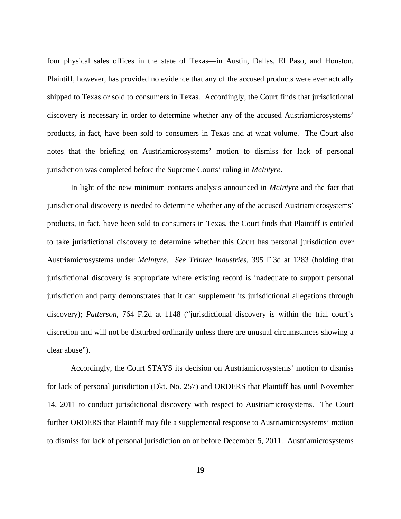four physical sales offices in the state of Texas—in Austin, Dallas, El Paso, and Houston. Plaintiff, however, has provided no evidence that any of the accused products were ever actually shipped to Texas or sold to consumers in Texas. Accordingly, the Court finds that jurisdictional discovery is necessary in order to determine whether any of the accused Austriamicrosystems' products, in fact, have been sold to consumers in Texas and at what volume. The Court also notes that the briefing on Austriamicrosystems' motion to dismiss for lack of personal jurisdiction was completed before the Supreme Courts' ruling in *McIntyre*.

 In light of the new minimum contacts analysis announced in *McIntyre* and the fact that jurisdictional discovery is needed to determine whether any of the accused Austriamicrosystems' products, in fact, have been sold to consumers in Texas, the Court finds that Plaintiff is entitled to take jurisdictional discovery to determine whether this Court has personal jurisdiction over Austriamicrosystems under *McIntyre*. *See Trintec Industries*, 395 F.3d at 1283 (holding that jurisdictional discovery is appropriate where existing record is inadequate to support personal jurisdiction and party demonstrates that it can supplement its jurisdictional allegations through discovery); *Patterson*, 764 F.2d at 1148 ("jurisdictional discovery is within the trial court's discretion and will not be disturbed ordinarily unless there are unusual circumstances showing a clear abuse").

 Accordingly, the Court STAYS its decision on Austriamicrosystems' motion to dismiss for lack of personal jurisdiction (Dkt. No. 257) and ORDERS that Plaintiff has until November 14, 2011 to conduct jurisdictional discovery with respect to Austriamicrosystems. The Court further ORDERS that Plaintiff may file a supplemental response to Austriamicrosystems' motion to dismiss for lack of personal jurisdiction on or before December 5, 2011. Austriamicrosystems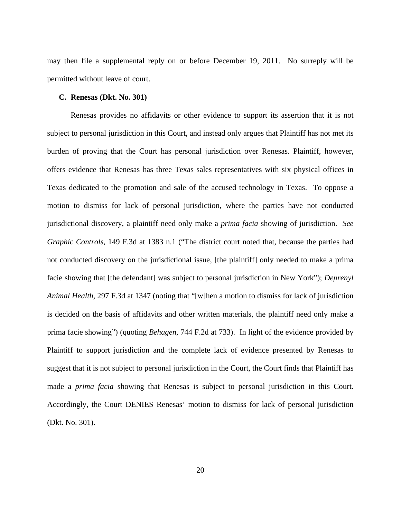may then file a supplemental reply on or before December 19, 2011. No surreply will be permitted without leave of court.

## **C. Renesas (Dkt. No. 301)**

 Renesas provides no affidavits or other evidence to support its assertion that it is not subject to personal jurisdiction in this Court, and instead only argues that Plaintiff has not met its burden of proving that the Court has personal jurisdiction over Renesas. Plaintiff, however, offers evidence that Renesas has three Texas sales representatives with six physical offices in Texas dedicated to the promotion and sale of the accused technology in Texas. To oppose a motion to dismiss for lack of personal jurisdiction, where the parties have not conducted jurisdictional discovery, a plaintiff need only make a *prima facia* showing of jurisdiction. *See Graphic Controls*, 149 F.3d at 1383 n.1 ("The district court noted that, because the parties had not conducted discovery on the jurisdictional issue, [the plaintiff] only needed to make a prima facie showing that [the defendant] was subject to personal jurisdiction in New York"); *Deprenyl Animal Health*, 297 F.3d at 1347 (noting that "[w]hen a motion to dismiss for lack of jurisdiction is decided on the basis of affidavits and other written materials, the plaintiff need only make a prima facie showing") (quoting *Behagen*, 744 F.2d at 733). In light of the evidence provided by Plaintiff to support jurisdiction and the complete lack of evidence presented by Renesas to suggest that it is not subject to personal jurisdiction in the Court, the Court finds that Plaintiff has made a *prima facia* showing that Renesas is subject to personal jurisdiction in this Court. Accordingly, the Court DENIES Renesas' motion to dismiss for lack of personal jurisdiction (Dkt. No. 301).